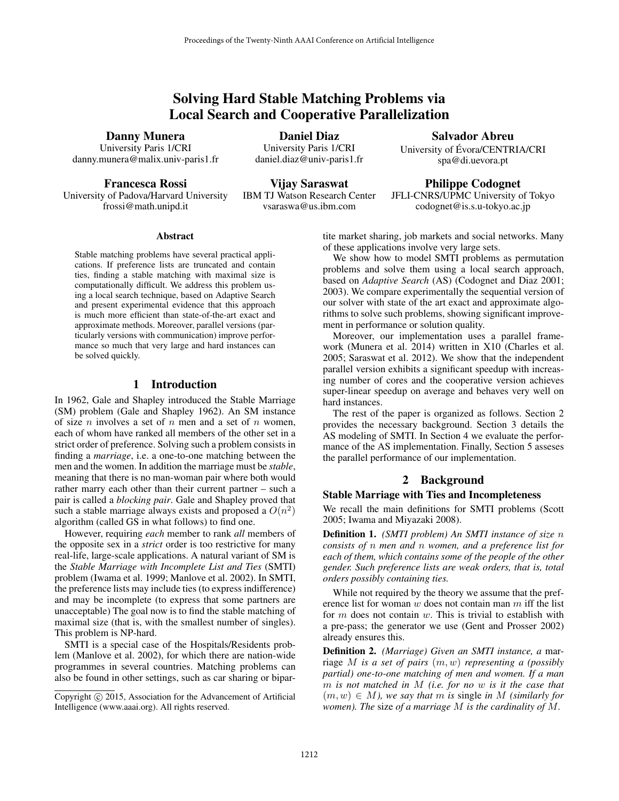# Solving Hard Stable Matching Problems via Local Search and Cooperative Parallelization

Danny Munera

University Paris 1/CRI danny.munera@malix.univ-paris1.fr

Francesca Rossi University of Padova/Harvard University frossi@math.unipd.it

Daniel Diaz University Paris 1/CRI daniel.diaz@univ-paris1.fr

Vijay Saraswat IBM TJ Watson Research Center vsaraswa@us.ibm.com

Salvador Abreu University of Evora/CENTRIA/CRI ´ spa@di.uevora.pt

Philippe Codognet JFLI-CNRS/UPMC University of Tokyo codognet@is.s.u-tokyo.ac.jp

### Abstract

Stable matching problems have several practical applications. If preference lists are truncated and contain ties, finding a stable matching with maximal size is computationally difficult. We address this problem using a local search technique, based on Adaptive Search and present experimental evidence that this approach is much more efficient than state-of-the-art exact and approximate methods. Moreover, parallel versions (particularly versions with communication) improve performance so much that very large and hard instances can be solved quickly.

# 1 Introduction

In 1962, Gale and Shapley introduced the Stable Marriage (SM) problem (Gale and Shapley 1962). An SM instance of size *n* involves a set of *n* men and a set of *n* women, each of whom have ranked all members of the other set in a strict order of preference. Solving such a problem consists in finding a *marriage*, i.e. a one-to-one matching between the men and the women. In addition the marriage must be *stable*, meaning that there is no man-woman pair where both would rather marry each other than their current partner – such a pair is called a *blocking pair*. Gale and Shapley proved that such a stable marriage always exists and proposed a  $O(n^2)$ algorithm (called GS in what follows) to find one.

However, requiring *each* member to rank *all* members of the opposite sex in a *strict* order is too restrictive for many real-life, large-scale applications. A natural variant of SM is the *Stable Marriage with Incomplete List and Ties* (SMTI) problem (Iwama et al. 1999; Manlove et al. 2002). In SMTI, the preference lists may include ties (to express indifference) and may be incomplete (to express that some partners are unacceptable) The goal now is to find the stable matching of maximal size (that is, with the smallest number of singles). This problem is NP-hard.

SMTI is a special case of the Hospitals/Residents problem (Manlove et al. 2002), for which there are nation-wide programmes in several countries. Matching problems can also be found in other settings, such as car sharing or bipartite market sharing, job markets and social networks. Many of these applications involve very large sets.

We show how to model SMTI problems as permutation problems and solve them using a local search approach, based on *Adaptive Search* (AS) (Codognet and Diaz 2001; 2003). We compare experimentally the sequential version of our solver with state of the art exact and approximate algorithms to solve such problems, showing significant improvement in performance or solution quality.

Moreover, our implementation uses a parallel framework (Munera et al. 2014) written in X10 (Charles et al. 2005; Saraswat et al. 2012). We show that the independent parallel version exhibits a significant speedup with increasing number of cores and the cooperative version achieves super-linear speedup on average and behaves very well on hard instances.

The rest of the paper is organized as follows. Section 2 provides the necessary background. Section 3 details the AS modeling of SMTI. In Section 4 we evaluate the performance of the AS implementation. Finally, Section 5 asseses the parallel performance of our implementation.

## 2 Background

### Stable Marriage with Ties and Incompleteness

We recall the main definitions for SMTI problems (Scott 2005; Iwama and Miyazaki 2008).

Definition 1. *(SMTI problem) An SMTI instance of size* n *consists of* n *men and* n *women, and a preference list for each of them, which contains some of the people of the other gender. Such preference lists are weak orders, that is, total orders possibly containing ties.*

While not required by the theory we assume that the preference list for woman  $w$  does not contain man  $m$  iff the list for  $m$  does not contain  $w$ . This is trivial to establish with a pre-pass; the generator we use (Gent and Prosser 2002) already ensures this.

Definition 2. *(Marriage) Given an SMTI instance, a* marriage M *is a set of pairs* (m, w) *representing a (possibly partial) one-to-one matching of men and women. If a man* m *is not matched in* M *(i.e. for no* w *is it the case that*  $(m, w) \in M$ *), we say that* m *is single in* M *(similarly for women). The* size *of a marriage* M *is the cardinality of* M*.*

Copyright  $\odot$  2015, Association for the Advancement of Artificial Intelligence (www.aaai.org). All rights reserved.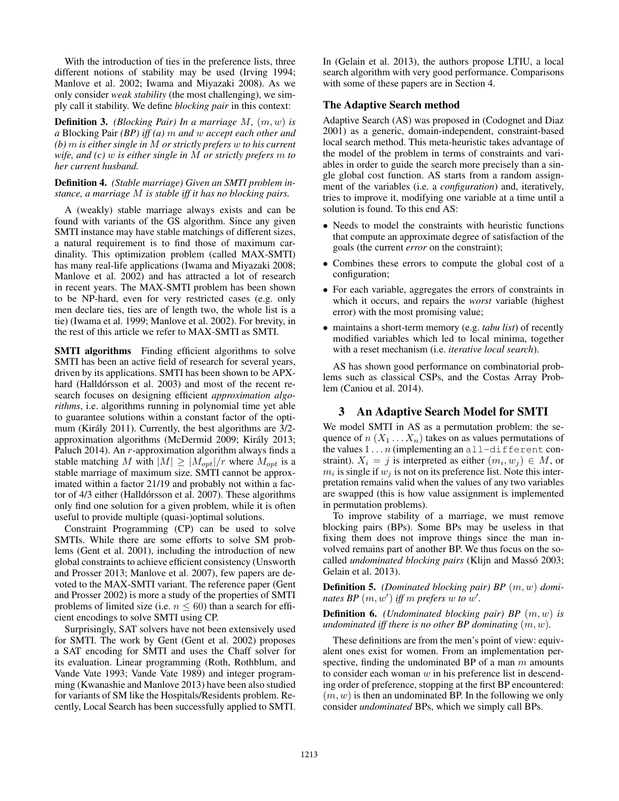With the introduction of ties in the preference lists, three different notions of stability may be used (Irving 1994; Manlove et al. 2002; Iwama and Miyazaki 2008). As we only consider *weak stability* (the most challenging), we simply call it stability. We define *blocking pair* in this context:

Definition 3. *(Blocking Pair) In a marriage* M*,* (m, w) *is a* Blocking Pair *(BP) iff (a)* m *and* w *accept each other and (b)* m *is either single in* M *or strictly prefers* w *to his current wife, and (c)* w *is either single in* M *or strictly prefers* m *to her current husband.*

### Definition 4. *(Stable marriage) Given an SMTI problem instance, a marriage* M *is stable iff it has no blocking pairs.*

A (weakly) stable marriage always exists and can be found with variants of the GS algorithm. Since any given SMTI instance may have stable matchings of different sizes, a natural requirement is to find those of maximum cardinality. This optimization problem (called MAX-SMTI) has many real-life applications (Iwama and Miyazaki 2008; Manlove et al. 2002) and has attracted a lot of research in recent years. The MAX-SMTI problem has been shown to be NP-hard, even for very restricted cases (e.g. only men declare ties, ties are of length two, the whole list is a tie) (Iwama et al. 1999; Manlove et al. 2002). For brevity, in the rest of this article we refer to MAX-SMTI as SMTI.

SMTI algorithms Finding efficient algorithms to solve SMTI has been an active field of research for several years, driven by its applications. SMTI has been shown to be APXhard (Halldórsson et al. 2003) and most of the recent research focuses on designing efficient *approximation algorithms*, i.e. algorithms running in polynomial time yet able to guarantee solutions within a constant factor of the optimum (Király 2011). Currently, the best algorithms are  $3/2$ approximation algorithms (McDermid 2009; Király 2013; Paluch 2014). An r-approximation algorithm always finds a stable matching M with  $|M| \geq |M_{opt}|/r$  where  $M_{opt}$  is a stable marriage of maximum size. SMTI cannot be approximated within a factor 21/19 and probably not within a factor of 4/3 either (Halldórsson et al. 2007). These algorithms only find one solution for a given problem, while it is often useful to provide multiple (quasi-)optimal solutions.

Constraint Programming (CP) can be used to solve SMTIs. While there are some efforts to solve SM problems (Gent et al. 2001), including the introduction of new global constraints to achieve efficient consistency (Unsworth and Prosser 2013; Manlove et al. 2007), few papers are devoted to the MAX-SMTI variant. The reference paper (Gent and Prosser 2002) is more a study of the properties of SMTI problems of limited size (i.e.  $n \leq 60$ ) than a search for efficient encodings to solve SMTI using CP.

Surprisingly, SAT solvers have not been extensively used for SMTI. The work by Gent (Gent et al. 2002) proposes a SAT encoding for SMTI and uses the Chaff solver for its evaluation. Linear programming (Roth, Rothblum, and Vande Vate 1993; Vande Vate 1989) and integer programming (Kwanashie and Manlove 2013) have been also studied for variants of SM like the Hospitals/Residents problem. Recently, Local Search has been successfully applied to SMTI.

In (Gelain et al. 2013), the authors propose LTIU, a local search algorithm with very good performance. Comparisons with some of these papers are in Section 4.

# The Adaptive Search method

Adaptive Search (AS) was proposed in (Codognet and Diaz 2001) as a generic, domain-independent, constraint-based local search method. This meta-heuristic takes advantage of the model of the problem in terms of constraints and variables in order to guide the search more precisely than a single global cost function. AS starts from a random assignment of the variables (i.e. a *configuration*) and, iteratively, tries to improve it, modifying one variable at a time until a solution is found. To this end AS:

- Needs to model the constraints with heuristic functions that compute an approximate degree of satisfaction of the goals (the current *error* on the constraint);
- Combines these errors to compute the global cost of a configuration;
- For each variable, aggregates the errors of constraints in which it occurs, and repairs the *worst* variable (highest error) with the most promising value;
- maintains a short-term memory (e.g. *tabu list*) of recently modified variables which led to local minima, together with a reset mechanism (i.e. *iterative local search*).

AS has shown good performance on combinatorial problems such as classical CSPs, and the Costas Array Problem (Caniou et al. 2014).

# 3 An Adaptive Search Model for SMTI

We model SMTI in AS as a permutation problem: the sequence of  $n(X_1 \ldots X_n)$  takes on as values permutations of the values  $1 \ldots n$  (implementing an all-different constraint).  $X_i = j$  is interpreted as either  $(m_i, w_j) \in M$ , or  $m_i$  is single if  $w_j$  is not on its preference list. Note this interpretation remains valid when the values of any two variables are swapped (this is how value assignment is implemented in permutation problems).

To improve stability of a marriage, we must remove blocking pairs (BPs). Some BPs may be useless in that fixing them does not improve things since the man involved remains part of another BP. We thus focus on the socalled *undominated blocking pairs* (Klijn and Massó 2003; Gelain et al. 2013).

Definition 5. *(Dominated blocking pair) BP* (m, w) *dominates BP*  $(m, w')$  *iff* m *prefers* w to w'.

Definition 6. *(Undominated blocking pair) BP* (m, w) *is undominated iff there is no other BP dominating* (m, w)*.*

These definitions are from the men's point of view: equivalent ones exist for women. From an implementation perspective, finding the undominated BP of a man  $m$  amounts to consider each woman  $w$  in his preference list in descending order of preference, stopping at the first BP encountered:  $(m, w)$  is then an undominated BP. In the following we only consider *undominated* BPs, which we simply call BPs.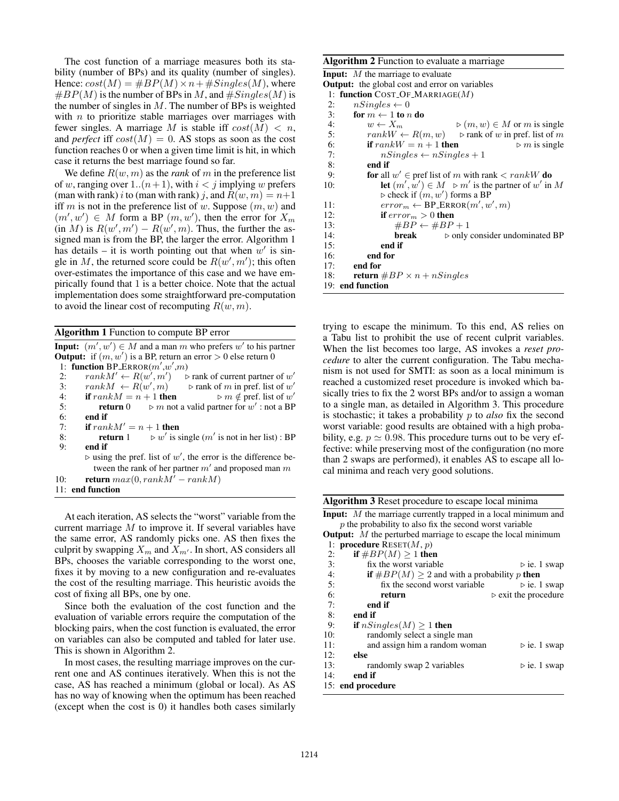The cost function of a marriage measures both its stability (number of BPs) and its quality (number of singles). Hence:  $cost(M) = \#BP(M) \times n + \#Singles(M)$ , where  $\#BP(M)$  is the number of BPs in M, and  $\#Singles(M)$  is the number of singles in  $M$ . The number of BPs is weighted with  $n$  to prioritize stable marriages over marriages with fewer singles. A marriage M is stable iff  $cost(M) < n$ , and *perfect* iff  $cost(M) = 0$ . AS stops as soon as the cost function reaches 0 or when a given time limit is hit, in which case it returns the best marriage found so far.

We define  $R(w, m)$  as the *rank* of m in the preference list of w, ranging over 1.. $(n+1)$ , with  $i < j$  implying w prefers (man with rank) i to (man with rank) j, and  $R(w, m) = n+1$ iff m is not in the preference list of w. Suppose  $(m, w)$  and  $(m', w') \in M$  form a BP  $(m, w')$ , then the error for  $X_m$  $(\text{in } M)$  is  $R(w', m') - R(w', m)$ . Thus, the further the assigned man is from the BP, the larger the error. Algorithm 1 has details – it is worth pointing out that when  $w'$  is single in M, the returned score could be  $R(w', m')$ ; this often over-estimates the importance of this case and we have empirically found that 1 is a better choice. Note that the actual implementation does some straightforward pre-computation to avoid the linear cost of recomputing  $R(w, m)$ .

Algorithm 1 Function to compute BP error

**Input:**  $(m', w') \in M$  and a man m who prefers w' to his partner **Output:** if  $(m, w')$  is a BP, return an error  $> 0$  else return 0 1: function  $BP\_ERROR(m', w', m)$ 2:  $rank M' \leftarrow R(w', m')$ )  $\triangleright$  rank of current partner of  $w'$ 3:  $rank M \leftarrow R(w')$  $(m)$   $\triangleright$  rank of m in pref. list of w' 4: **if**  $rank M = n + 1$  **then**<br>5: **return** 0  $\triangleright m$  not  $\triangleright$  m  $\notin$  pref. list of w' 5: **return** 0  $\triangleright$  m not a valid partner for w': not a BP 6: **end if**  $7:$  **if**  $ran$ if  $rank M' = n + 1$  then  $8:$  return  $1$ is single  $(m'$  is not in her list) : BP 9: end if  $\triangleright$  using the pref. list of w', the error is the difference between the rank of her partner  $m'$  and proposed man  $m$ 10: return  $max(0, rankM' - rankM)$ 11: end function

At each iteration, AS selects the "worst" variable from the current marriage  $M$  to improve it. If several variables have the same error, AS randomly picks one. AS then fixes the culprit by swapping  $X_m$  and  $X_{m'}$ . In short, AS considers all BPs, chooses the variable corresponding to the worst one, fixes it by moving to a new configuration and re-evaluates the cost of the resulting marriage. This heuristic avoids the cost of fixing all BPs, one by one.

Since both the evaluation of the cost function and the evaluation of variable errors require the computation of the blocking pairs, when the cost function is evaluated, the error on variables can also be computed and tabled for later use. This is shown in Algorithm 2.

In most cases, the resulting marriage improves on the current one and AS continues iteratively. When this is not the case, AS has reached a minimum (global or local). As AS has no way of knowing when the optimum has been reached (except when the cost is 0) it handles both cases similarly

#### Algorithm 2 Function to evaluate a marriage

| <b>Input:</b> $M$ the marriage to evaluate                                          |  |  |
|-------------------------------------------------------------------------------------|--|--|
| <b>Output:</b> the global cost and error on variables                               |  |  |
| 1: function COST_OF_MARRIAGE $(M)$                                                  |  |  |
| 2:<br>$nSingles \leftarrow 0$                                                       |  |  |
| 3:<br>for $m \leftarrow 1$ to n do                                                  |  |  |
| 4:<br>$w \leftarrow X_m$<br>$\triangleright$ $(m, w) \in M$ or m is single          |  |  |
| 5:<br>$rankW \leftarrow R(m, w)$ $\triangleright$ rank of w in pref. list of m      |  |  |
| 6:<br>if $rankW = n + 1$ then<br>$\triangleright$ m is single                       |  |  |
| 7:<br>$nSingles \leftarrow nSingles + 1$                                            |  |  |
| 8:<br>end if                                                                        |  |  |
| <b>for</b> all $w' \in$ pref list of m with rank $\langle \text{rank} W \rangle$ do |  |  |
| let $(m', w') \in M \ge m'$ is the partner of w' in M<br>10:                        |  |  |
| $\triangleright$ check if $(m, w')$ forms a BP                                      |  |  |
| $error_m \leftarrow \text{BP\_ERROR}(m', w', m)$<br>11:                             |  |  |
| 12:<br>if $error_m > 0$ then                                                        |  |  |
| 13:<br>$\#BP \leftarrow \#BP + 1$                                                   |  |  |
| 14:<br><b>break</b> $\triangleright$ only consider undominated BP                   |  |  |
| end if<br>15:                                                                       |  |  |
| 16:<br>end for                                                                      |  |  |
| end for<br>17:                                                                      |  |  |
| <b>return</b> $\#BP \times n + nS$<br>18:                                           |  |  |
| 19: end function                                                                    |  |  |

trying to escape the minimum. To this end, AS relies on a Tabu list to prohibit the use of recent culprit variables. When the list becomes too large, AS invokes a *reset procedure* to alter the current configuration. The Tabu mechanism is not used for SMTI: as soon as a local minimum is reached a customized reset procedure is invoked which basically tries to fix the 2 worst BPs and/or to assign a woman to a single man, as detailed in Algorithm 3. This procedure is stochastic; it takes a probability p to *also* fix the second worst variable: good results are obtained with a high probability, e.g.  $p \simeq 0.98$ . This procedure turns out to be very effective: while preserving most of the configuration (no more than 2 swaps are performed), it enables AS to escape all local minima and reach very good solutions.

| Algorithm 3 Reset procedure to escape local minima                      |                                     |  |
|-------------------------------------------------------------------------|-------------------------------------|--|
| <b>Input:</b> $M$ the marriage currently trapped in a local minimum and |                                     |  |
| $p$ the probability to also fix the second worst variable               |                                     |  |
| <b>Output:</b> $M$ the perturbed marriage to escape the local minimum   |                                     |  |
| 1: <b>procedure</b> RESET $(M, p)$                                      |                                     |  |
| if $\#BP(M) \geq 1$ then<br>2:                                          |                                     |  |
| fix the worst variable<br>3:                                            | $\triangleright$ ie. 1 swap         |  |
| 4:<br><b>if</b> $\#BP(M) \geq 2$ and with a probability p <b>then</b>   |                                     |  |
| 5:<br>fix the second worst variable                                     | $\triangleright$ ie. 1 swap         |  |
| 6:<br>return                                                            | $\triangleright$ exit the procedure |  |
| 7:<br>end if                                                            |                                     |  |
| 8:<br>end if                                                            |                                     |  |
| 9:<br>if $nSingles(M) > 1$ then                                         |                                     |  |
| 10:<br>randomly select a single man                                     |                                     |  |
| 11:<br>and assign him a random woman                                    | $\triangleright$ ie. 1 swap         |  |
| 12:<br>else                                                             |                                     |  |
| 13:<br>randomly swap 2 variables                                        | $\triangleright$ ie. 1 swap         |  |
| 14:<br>end if                                                           |                                     |  |
| 15: end procedure                                                       |                                     |  |
|                                                                         |                                     |  |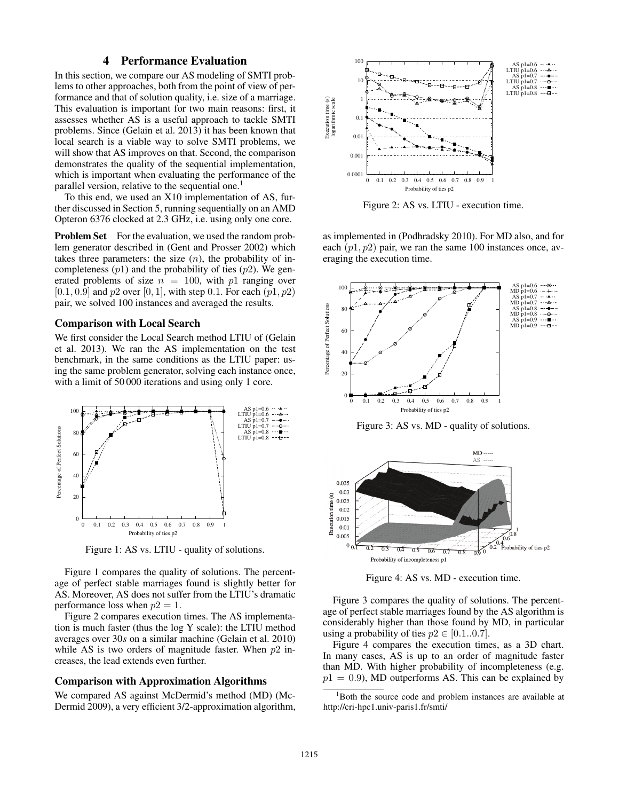# 4 Performance Evaluation

In this section, we compare our AS modeling of SMTI problems to other approaches, both from the point of view of performance and that of solution quality, i.e. size of a marriage. This evaluation is important for two main reasons: first, it assesses whether AS is a useful approach to tackle SMTI problems. Since (Gelain et al. 2013) it has been known that local search is a viable way to solve SMTI problems, we will show that AS improves on that. Second, the comparison demonstrates the quality of the sequential implementation, which is important when evaluating the performance of the parallel version, relative to the sequential one.<sup>1</sup>

To this end, we used an X10 implementation of AS, further discussed in Section 5, running sequentially on an AMD Opteron 6376 clocked at 2.3 GHz, i.e. using only one core.

**Problem Set** For the evaluation, we used the random problem generator described in (Gent and Prosser 2002) which takes three parameters: the size  $(n)$ , the probability of incompleteness  $(p1)$  and the probability of ties  $(p2)$ . We generated problems of size  $n = 100$ , with p1 ranging over [0.1, 0.9] and  $p2$  over [0, 1], with step 0.1. For each  $(p1, p2)$ pair, we solved 100 instances and averaged the results.

#### Comparison with Local Search

We first consider the Local Search method LTIU of (Gelain et al. 2013). We ran the AS implementation on the test benchmark, in the same conditions as the LTIU paper: using the same problem generator, solving each instance once, with a limit of 50 000 iterations and using only 1 core.



Figure 1: AS vs. LTIU - quality of solutions.

Figure 1 compares the quality of solutions. The percentage of perfect stable marriages found is slightly better for AS. Moreover, AS does not suffer from the LTIU's dramatic performance loss when  $p2 = 1$ .

Figure 2 compares execution times. The AS implementation is much faster (thus the log Y scale): the LTIU method averages over 30*s* on a similar machine (Gelain et al. 2010) while AS is two orders of magnitude faster. When  $p2$  increases, the lead extends even further.

### Comparison with Approximation Algorithms

We compared AS against McDermid's method (MD) (Mc-Dermid 2009), a very efficient 3/2-approximation algorithm,



Figure 2: AS vs. LTIU - execution time.

as implemented in (Podhradsky 2010). For MD also, and for each  $(p1, p2)$  pair, we ran the same 100 instances once, averaging the execution time.



Figure 3: AS vs. MD - quality of solutions.



Figure 4: AS vs. MD - execution time.

Figure 3 compares the quality of solutions. The percentage of perfect stable marriages found by the AS algorithm is considerably higher than those found by MD, in particular using a probability of ties  $p2 \in [0.1..0.7]$ .

Figure 4 compares the execution times, as a 3D chart. In many cases, AS is up to an order of magnitude faster than MD. With higher probability of incompleteness (e.g.  $p1 = 0.9$ ), MD outperforms AS. This can be explained by

<sup>&</sup>lt;sup>1</sup>Both the source code and problem instances are available at http://cri-hpc1.univ-paris1.fr/smti/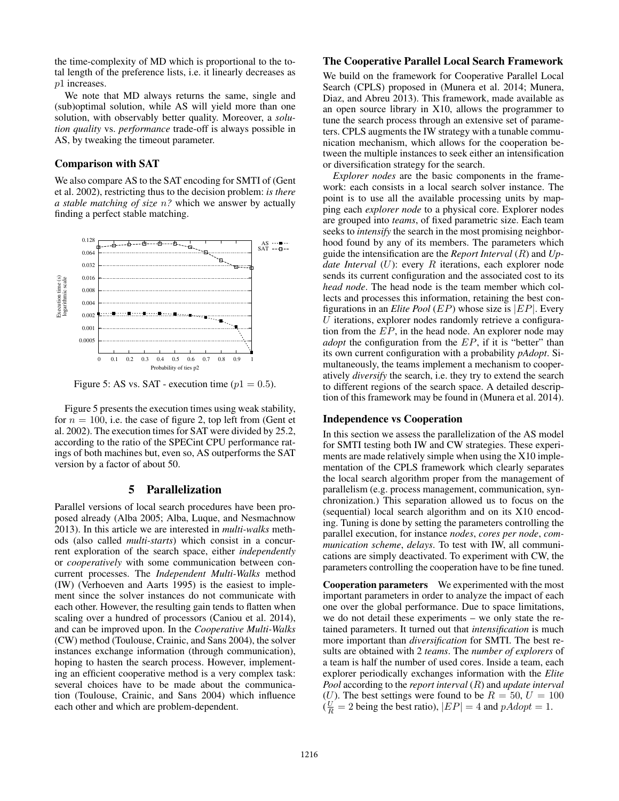the time-complexity of MD which is proportional to the total length of the preference lists, i.e. it linearly decreases as p1 increases.

We note that MD always returns the same, single and (sub)optimal solution, while AS will yield more than one solution, with observably better quality. Moreover, a *solution quality* vs. *performance* trade-off is always possible in AS, by tweaking the timeout parameter.

## Comparison with SAT

We also compare AS to the SAT encoding for SMTI of (Gent et al. 2002), restricting thus to the decision problem: *is there a stable matching of size* n*?* which we answer by actually finding a perfect stable matching.



Figure 5: AS vs. SAT - execution time ( $p1 = 0.5$ ).

Figure 5 presents the execution times using weak stability, for  $n = 100$ , i.e. the case of figure 2, top left from (Gent et al. 2002). The execution times for SAT were divided by 25.2, according to the ratio of the SPECint CPU performance ratings of both machines but, even so, AS outperforms the SAT version by a factor of about 50.

# 5 Parallelization

Parallel versions of local search procedures have been proposed already (Alba 2005; Alba, Luque, and Nesmachnow 2013). In this article we are interested in *multi-walks* methods (also called *multi-starts*) which consist in a concurrent exploration of the search space, either *independently* or *cooperatively* with some communication between concurrent processes. The *Independent Multi-Walks* method (IW) (Verhoeven and Aarts 1995) is the easiest to implement since the solver instances do not communicate with each other. However, the resulting gain tends to flatten when scaling over a hundred of processors (Caniou et al. 2014), and can be improved upon. In the *Cooperative Multi-Walks* (CW) method (Toulouse, Crainic, and Sans 2004), the solver instances exchange information (through communication), hoping to hasten the search process. However, implementing an efficient cooperative method is a very complex task: several choices have to be made about the communication (Toulouse, Crainic, and Sans 2004) which influence each other and which are problem-dependent.

# The Cooperative Parallel Local Search Framework

We build on the framework for Cooperative Parallel Local Search (CPLS) proposed in (Munera et al. 2014; Munera, Diaz, and Abreu 2013). This framework, made available as an open source library in X10, allows the programmer to tune the search process through an extensive set of parameters. CPLS augments the IW strategy with a tunable communication mechanism, which allows for the cooperation between the multiple instances to seek either an intensification or diversification strategy for the search.

*Explorer nodes* are the basic components in the framework: each consists in a local search solver instance. The point is to use all the available processing units by mapping each *explorer node* to a physical core. Explorer nodes are grouped into *teams*, of fixed parametric size. Each team seeks to *intensify* the search in the most promising neighborhood found by any of its members. The parameters which guide the intensification are the *Report Interval* (R) and *Update Interval* (U): every R iterations, each explorer node sends its current configuration and the associated cost to its *head node*. The head node is the team member which collects and processes this information, retaining the best configurations in an *Elite Pool* (EP) whose size is |EP|. Every  $U$  iterations, explorer nodes randomly retrieve a configuration from the  $EP$ , in the head node. An explorer node may *adopt* the configuration from the EP, if it is "better" than its own current configuration with a probability *pAdopt*. Simultaneously, the teams implement a mechanism to cooperatively *diversify* the search, i.e. they try to extend the search to different regions of the search space. A detailed description of this framework may be found in (Munera et al. 2014).

#### Independence vs Cooperation

In this section we assess the parallelization of the AS model for SMTI testing both IW and CW strategies. These experiments are made relatively simple when using the X10 implementation of the CPLS framework which clearly separates the local search algorithm proper from the management of parallelism (e.g. process management, communication, synchronization.) This separation allowed us to focus on the (sequential) local search algorithm and on its X10 encoding. Tuning is done by setting the parameters controlling the parallel execution, for instance *nodes*, *cores per node*, *communication scheme*, *delays*. To test with IW, all communications are simply deactivated. To experiment with CW, the parameters controlling the cooperation have to be fine tuned.

Cooperation parameters We experimented with the most important parameters in order to analyze the impact of each one over the global performance. Due to space limitations, we do not detail these experiments – we only state the retained parameters. It turned out that *intensification* is much more important than *diversification* for SMTI. The best results are obtained with 2 *teams*. The *number of explorers* of a team is half the number of used cores. Inside a team, each explorer periodically exchanges information with the *Elite Pool* according to the *report interval* (R) and *update interval* (U). The best settings were found to be  $R = 50, U = 100$  $(\frac{U}{R} = 2 \text{ being the best ratio}), |EP| = 4 \text{ and } pAdopt = 1.$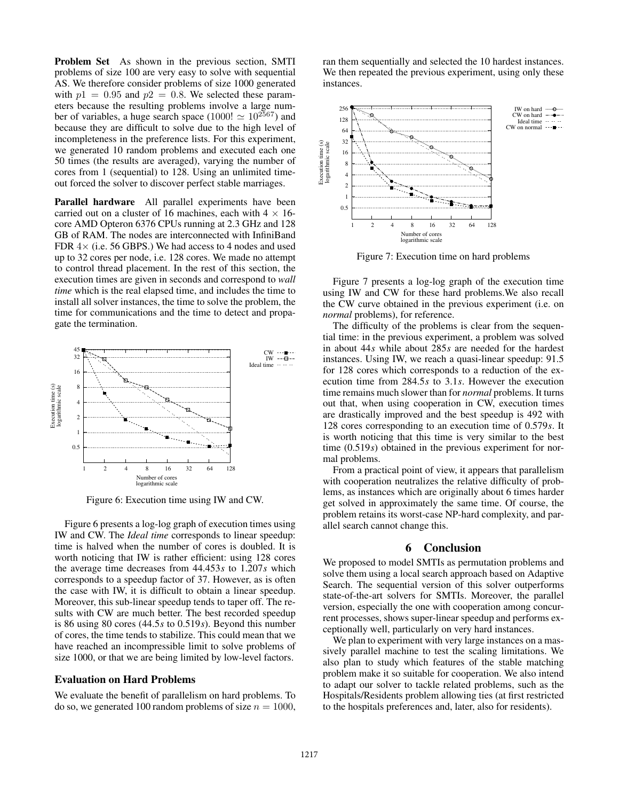Problem Set As shown in the previous section, SMTI problems of size 100 are very easy to solve with sequential AS. We therefore consider problems of size 1000 generated with  $p1 = 0.95$  and  $p2 = 0.8$ . We selected these parameters because the resulting problems involve a large number of variables, a huge search space (1000!  $\simeq 10^{2567}$ ) and because they are difficult to solve due to the high level of incompleteness in the preference lists. For this experiment, we generated 10 random problems and executed each one 50 times (the results are averaged), varying the number of cores from 1 (sequential) to 128. Using an unlimited timeout forced the solver to discover perfect stable marriages.

Parallel hardware All parallel experiments have been carried out on a cluster of 16 machines, each with  $4 \times 16$ core AMD Opteron 6376 CPUs running at 2.3 GHz and 128 GB of RAM. The nodes are interconnected with InfiniBand FDR  $4\times$  (i.e. 56 GBPS.) We had access to 4 nodes and used up to 32 cores per node, i.e. 128 cores. We made no attempt to control thread placement. In the rest of this section, the execution times are given in seconds and correspond to *wall time* which is the real elapsed time, and includes the time to install all solver instances, the time to solve the problem, the time for communications and the time to detect and propagate the termination.



Figure 6: Execution time using IW and CW.

Figure 6 presents a log-log graph of execution times using IW and CW. The *Ideal time* corresponds to linear speedup: time is halved when the number of cores is doubled. It is worth noticing that IW is rather efficient: using 128 cores the average time decreases from 44.453*s* to 1.207*s* which corresponds to a speedup factor of 37. However, as is often the case with IW, it is difficult to obtain a linear speedup. Moreover, this sub-linear speedup tends to taper off. The results with CW are much better. The best recorded speedup is 86 using 80 cores (44.5*s* to 0.519*s*). Beyond this number of cores, the time tends to stabilize. This could mean that we have reached an incompressible limit to solve problems of size 1000, or that we are being limited by low-level factors.

#### Evaluation on Hard Problems

We evaluate the benefit of parallelism on hard problems. To do so, we generated 100 random problems of size  $n = 1000$ ,

ran them sequentially and selected the 10 hardest instances. We then repeated the previous experiment, using only these instances.



Figure 7: Execution time on hard problems

Figure 7 presents a log-log graph of the execution time using IW and CW for these hard problems.We also recall the CW curve obtained in the previous experiment (i.e. on *normal* problems), for reference.

The difficulty of the problems is clear from the sequential time: in the previous experiment, a problem was solved in about 44*s* while about 285*s* are needed for the hardest instances. Using IW, we reach a quasi-linear speedup: 91.5 for 128 cores which corresponds to a reduction of the execution time from 284.5*s* to 3.1*s*. However the execution time remains much slower than for *normal* problems. It turns out that, when using cooperation in CW, execution times are drastically improved and the best speedup is 492 with 128 cores corresponding to an execution time of 0.579*s*. It is worth noticing that this time is very similar to the best time (0.519*s*) obtained in the previous experiment for normal problems.

From a practical point of view, it appears that parallelism with cooperation neutralizes the relative difficulty of problems, as instances which are originally about 6 times harder get solved in approximately the same time. Of course, the problem retains its worst-case NP-hard complexity, and parallel search cannot change this.

### 6 Conclusion

We proposed to model SMTIs as permutation problems and solve them using a local search approach based on Adaptive Search. The sequential version of this solver outperforms state-of-the-art solvers for SMTIs. Moreover, the parallel version, especially the one with cooperation among concurrent processes, shows super-linear speedup and performs exceptionally well, particularly on very hard instances.

We plan to experiment with very large instances on a massively parallel machine to test the scaling limitations. We also plan to study which features of the stable matching problem make it so suitable for cooperation. We also intend to adapt our solver to tackle related problems, such as the Hospitals/Residents problem allowing ties (at first restricted to the hospitals preferences and, later, also for residents).